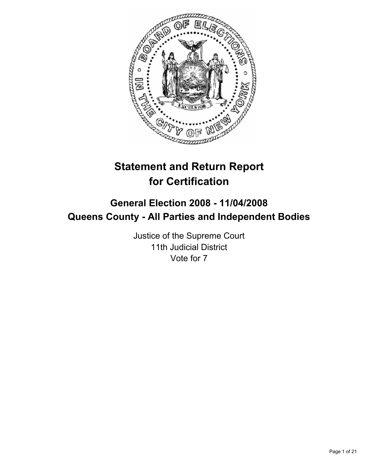

# **Statement and Return Report for Certification**

## **General Election 2008 - 11/04/2008 Queens County - All Parties and Independent Bodies**

Justice of the Supreme Court 11th Judicial District Vote for 7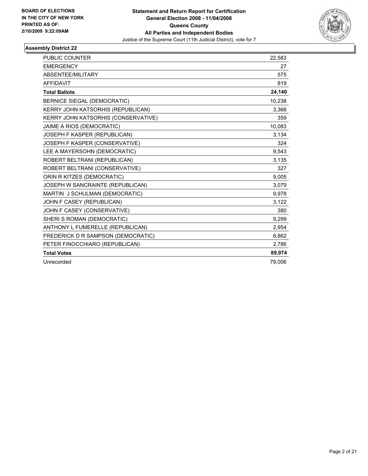

| PUBLIC COUNTER                      | 22,583 |
|-------------------------------------|--------|
| <b>EMERGENCY</b>                    | 27     |
| ABSENTEE/MILITARY                   | 575    |
| <b>AFFIDAVIT</b>                    | 819    |
| <b>Total Ballots</b>                | 24,140 |
| <b>BERNICE SIEGAL (DEMOCRATIC)</b>  | 10,238 |
| KERRY JOHN KATSORHIS (REPUBLICAN)   | 3,366  |
| KERRY JOHN KATSORHIS (CONSERVATIVE) | 359    |
| JAIME A RIOS (DEMOCRATIC)           | 10,083 |
| JOSEPH F KASPER (REPUBLICAN)        | 3,134  |
| JOSEPH F KASPER (CONSERVATIVE)      | 324    |
| LEE A MAYERSOHN (DEMOCRATIC)        | 9,543  |
| ROBERT BELTRANI (REPUBLICAN)        | 3,135  |
| ROBERT BELTRANI (CONSERVATIVE)      | 327    |
| ORIN R KITZES (DEMOCRATIC)          | 9,005  |
| JOSEPH W SANCRAINTE (REPUBLICAN)    | 3,079  |
| MARTIN J SCHULMAN (DEMOCRATIC)      | 9,978  |
| JOHN F CASEY (REPUBLICAN)           | 3,122  |
| JOHN F CASEY (CONSERVATIVE)         | 380    |
| SHERI S ROMAN (DEMOCRATIC)          | 9,299  |
| ANTHONY L FUMERELLE (REPUBLICAN)    | 2,954  |
| FREDERICK D R SAMPSON (DEMOCRATIC)  | 8,862  |
| PETER FINOCCHIARO (REPUBLICAN)      | 2,786  |
| <b>Total Votes</b>                  | 89,974 |
| Unrecorded                          | 79.006 |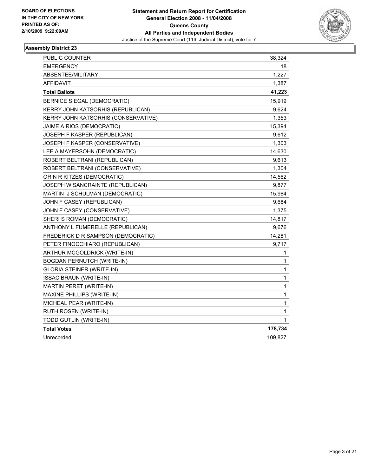

| PUBLIC COUNTER                      | 38,324      |
|-------------------------------------|-------------|
| <b>EMERGENCY</b>                    | 18          |
| ABSENTEE/MILITARY                   | 1,227       |
| AFFIDAVIT                           | 1,387       |
| <b>Total Ballots</b>                | 41,223      |
| <b>BERNICE SIEGAL (DEMOCRATIC)</b>  | 15,919      |
| KERRY JOHN KATSORHIS (REPUBLICAN)   | 9,624       |
| KERRY JOHN KATSORHIS (CONSERVATIVE) | 1,353       |
| JAIME A RIOS (DEMOCRATIC)           | 15,394      |
| JOSEPH F KASPER (REPUBLICAN)        | 9,612       |
| JOSEPH F KASPER (CONSERVATIVE)      | 1,303       |
| LEE A MAYERSOHN (DEMOCRATIC)        | 14,630      |
| ROBERT BELTRANI (REPUBLICAN)        | 9,613       |
| ROBERT BELTRANI (CONSERVATIVE)      | 1,304       |
| ORIN R KITZES (DEMOCRATIC)          | 14,562      |
| JOSEPH W SANCRAINTE (REPUBLICAN)    | 9,877       |
| MARTIN J SCHULMAN (DEMOCRATIC)      | 15,984      |
| JOHN F CASEY (REPUBLICAN)           | 9,684       |
| JOHN F CASEY (CONSERVATIVE)         | 1,375       |
| SHERI S ROMAN (DEMOCRATIC)          | 14,817      |
| ANTHONY L FUMERELLE (REPUBLICAN)    | 9,676       |
| FREDERICK D R SAMPSON (DEMOCRATIC)  | 14,281      |
| PETER FINOCCHIARO (REPUBLICAN)      | 9,717       |
| ARTHUR MCGOLDRICK (WRITE-IN)        | 1           |
| <b>BOGDAN PERNUTCH (WRITE-IN)</b>   | 1           |
| <b>GLORIA STEINER (WRITE-IN)</b>    | 1           |
| <b>ISSAC BRAUN (WRITE-IN)</b>       | 1           |
| MARTIN PERET (WRITE-IN)             | 1           |
| MAXINE PHILLIPS (WRITE-IN)          | 1           |
| MICHEAL PEAR (WRITE-IN)             | 1           |
| RUTH ROSEN (WRITE-IN)               | 1           |
| TODD GUTLIN (WRITE-IN)              | $\mathbf 1$ |
| <b>Total Votes</b>                  | 178,734     |
| Unrecorded                          | 109,827     |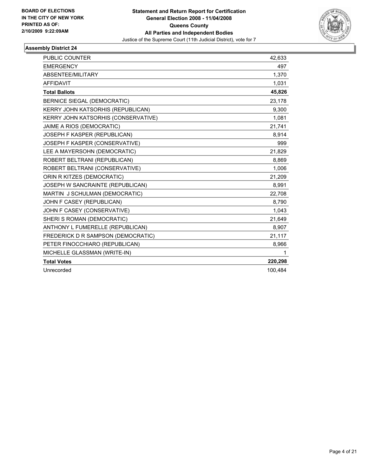

| PUBLIC COUNTER                      | 42,633  |
|-------------------------------------|---------|
| <b>EMERGENCY</b>                    | 497     |
| ABSENTEE/MILITARY                   | 1,370   |
| <b>AFFIDAVIT</b>                    | 1,031   |
| <b>Total Ballots</b>                | 45,826  |
| BERNICE SIEGAL (DEMOCRATIC)         | 23,178  |
| KERRY JOHN KATSORHIS (REPUBLICAN)   | 9,300   |
| KERRY JOHN KATSORHIS (CONSERVATIVE) | 1,081   |
| JAIME A RIOS (DEMOCRATIC)           | 21,741  |
| JOSEPH F KASPER (REPUBLICAN)        | 8,914   |
| JOSEPH F KASPER (CONSERVATIVE)      | 999     |
| LEE A MAYERSOHN (DEMOCRATIC)        | 21,829  |
| ROBERT BELTRANI (REPUBLICAN)        | 8,869   |
| ROBERT BELTRANI (CONSERVATIVE)      | 1,006   |
| ORIN R KITZES (DEMOCRATIC)          | 21,209  |
| JOSEPH W SANCRAINTE (REPUBLICAN)    | 8,991   |
| MARTIN J SCHULMAN (DEMOCRATIC)      | 22,708  |
| JOHN F CASEY (REPUBLICAN)           | 8,790   |
| JOHN F CASEY (CONSERVATIVE)         | 1,043   |
| SHERI S ROMAN (DEMOCRATIC)          | 21,649  |
| ANTHONY L FUMERELLE (REPUBLICAN)    | 8,907   |
| FREDERICK D R SAMPSON (DEMOCRATIC)  | 21,117  |
| PETER FINOCCHIARO (REPUBLICAN)      | 8,966   |
| MICHELLE GLASSMAN (WRITE-IN)        | 1       |
| <b>Total Votes</b>                  | 220,298 |
| Unrecorded                          | 100,484 |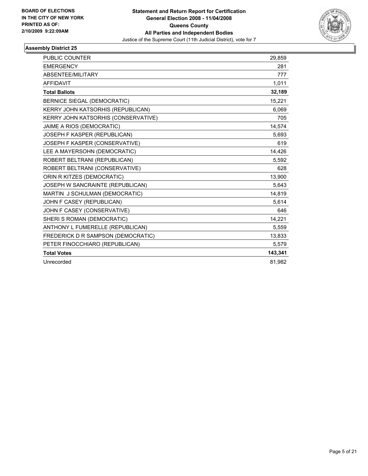

| <b>PUBLIC COUNTER</b>               | 29.859  |
|-------------------------------------|---------|
| <b>EMERGENCY</b>                    | 281     |
| ABSENTEE/MILITARY                   | 777     |
| <b>AFFIDAVIT</b>                    | 1,011   |
| <b>Total Ballots</b>                | 32,189  |
| <b>BERNICE SIEGAL (DEMOCRATIC)</b>  | 15,221  |
| KERRY JOHN KATSORHIS (REPUBLICAN)   | 6,069   |
| KERRY JOHN KATSORHIS (CONSERVATIVE) | 705     |
| JAIME A RIOS (DEMOCRATIC)           | 14,574  |
| JOSEPH F KASPER (REPUBLICAN)        | 5,693   |
| JOSEPH F KASPER (CONSERVATIVE)      | 619     |
| LEE A MAYERSOHN (DEMOCRATIC)        | 14,426  |
| ROBERT BELTRANI (REPUBLICAN)        | 5.592   |
| ROBERT BELTRANI (CONSERVATIVE)      | 628     |
| ORIN R KITZES (DEMOCRATIC)          | 13,900  |
| JOSEPH W SANCRAINTE (REPUBLICAN)    | 5,643   |
| MARTIN J SCHULMAN (DEMOCRATIC)      | 14,819  |
| JOHN F CASEY (REPUBLICAN)           | 5,614   |
| JOHN F CASEY (CONSERVATIVE)         | 646     |
| SHERI S ROMAN (DEMOCRATIC)          | 14,221  |
| ANTHONY L FUMERELLE (REPUBLICAN)    | 5,559   |
| FREDERICK D R SAMPSON (DEMOCRATIC)  | 13,833  |
| PETER FINOCCHIARO (REPUBLICAN)      | 5,579   |
| <b>Total Votes</b>                  | 143,341 |
| Unrecorded                          | 81,982  |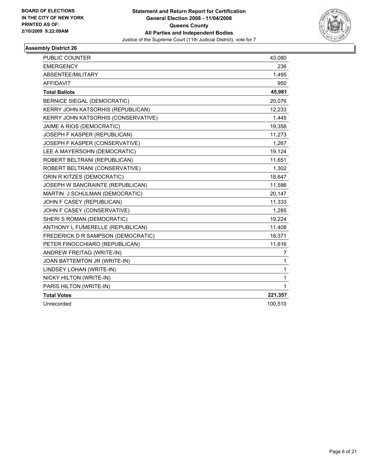

| <b>PUBLIC COUNTER</b>               | 43,080  |
|-------------------------------------|---------|
| <b>EMERGENCY</b>                    | 236     |
| ABSENTEE/MILITARY                   | 1,495   |
| <b>AFFIDAVIT</b>                    | 950     |
| <b>Total Ballots</b>                | 45,981  |
| <b>BERNICE SIEGAL (DEMOCRATIC)</b>  | 20,076  |
| KERRY JOHN KATSORHIS (REPUBLICAN)   | 12,233  |
| KERRY JOHN KATSORHIS (CONSERVATIVE) | 1,445   |
| JAIME A RIOS (DEMOCRATIC)           | 19,358  |
| JOSEPH F KASPER (REPUBLICAN)        | 11,273  |
| JOSEPH F KASPER (CONSERVATIVE)      | 1,267   |
| LEE A MAYERSOHN (DEMOCRATIC)        | 19,124  |
| ROBERT BELTRANI (REPUBLICAN)        | 11,651  |
| ROBERT BELTRANI (CONSERVATIVE)      | 1,302   |
| ORIN R KITZES (DEMOCRATIC)          | 18,647  |
| JOSEPH W SANCRAINTE (REPUBLICAN)    | 11,586  |
| MARTIN J SCHULMAN (DEMOCRATIC)      | 20,147  |
| JOHN F CASEY (REPUBLICAN)           | 11,333  |
| JOHN F CASEY (CONSERVATIVE)         | 1,285   |
| SHERI S ROMAN (DEMOCRATIC)          | 19,224  |
| ANTHONY L FUMERELLE (REPUBLICAN)    | 11,408  |
| FREDERICK D R SAMPSON (DEMOCRATIC)  | 18,371  |
| PETER FINOCCHIARO (REPUBLICAN)      | 11,616  |
| ANDREW FREITAG (WRITE-IN)           | 7       |
| JOAN BATTEMTON JR (WRITE-IN)        | 1       |
| LINDSEY LOHAN (WRITE-IN)            | 1       |
| NICKY HILTON (WRITE-IN)             | 1       |
| PARIS HILTON (WRITE-IN)             | 1       |
| <b>Total Votes</b>                  | 221,357 |
| Unrecorded                          | 100,510 |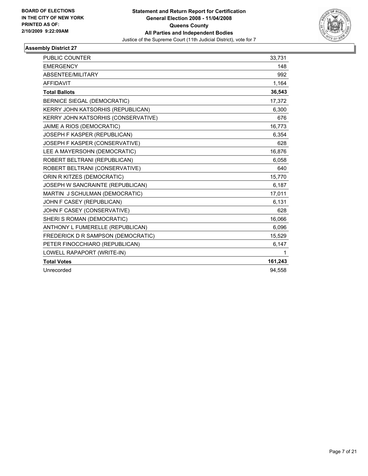

| PUBLIC COUNTER                      | 33,731  |
|-------------------------------------|---------|
| <b>EMERGENCY</b>                    | 148     |
| ABSENTEE/MILITARY                   | 992     |
| <b>AFFIDAVIT</b>                    | 1,164   |
| <b>Total Ballots</b>                | 36,543  |
| BERNICE SIEGAL (DEMOCRATIC)         | 17.372  |
| KERRY JOHN KATSORHIS (REPUBLICAN)   | 6,300   |
| KERRY JOHN KATSORHIS (CONSERVATIVE) | 676     |
| JAIME A RIOS (DEMOCRATIC)           | 16,773  |
| JOSEPH F KASPER (REPUBLICAN)        | 6,354   |
| JOSEPH F KASPER (CONSERVATIVE)      | 628     |
| LEE A MAYERSOHN (DEMOCRATIC)        | 16,876  |
| ROBERT BELTRANI (REPUBLICAN)        | 6,058   |
| ROBERT BELTRANI (CONSERVATIVE)      | 640     |
| ORIN R KITZES (DEMOCRATIC)          | 15,770  |
| JOSEPH W SANCRAINTE (REPUBLICAN)    | 6,187   |
| MARTIN J SCHULMAN (DEMOCRATIC)      | 17,011  |
| JOHN F CASEY (REPUBLICAN)           | 6,131   |
| JOHN F CASEY (CONSERVATIVE)         | 628     |
| SHERI S ROMAN (DEMOCRATIC)          | 16,066  |
| ANTHONY L FUMERELLE (REPUBLICAN)    | 6,096   |
| FREDERICK D R SAMPSON (DEMOCRATIC)  | 15,529  |
| PETER FINOCCHIARO (REPUBLICAN)      | 6,147   |
| LOWELL RAPAPORT (WRITE-IN)          | 1       |
| <b>Total Votes</b>                  | 161,243 |
| Unrecorded                          | 94,558  |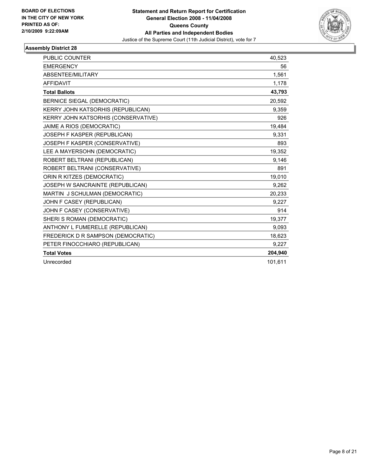

| <b>PUBLIC COUNTER</b>               | 40,523  |
|-------------------------------------|---------|
| <b>EMERGENCY</b>                    | 56      |
| ABSENTEE/MILITARY                   | 1,561   |
| <b>AFFIDAVIT</b>                    | 1,178   |
| <b>Total Ballots</b>                | 43,793  |
| <b>BERNICE SIEGAL (DEMOCRATIC)</b>  | 20,592  |
| KERRY JOHN KATSORHIS (REPUBLICAN)   | 9,359   |
| KERRY JOHN KATSORHIS (CONSERVATIVE) | 926     |
| JAIME A RIOS (DEMOCRATIC)           | 19,484  |
| JOSEPH F KASPER (REPUBLICAN)        | 9,331   |
| JOSEPH F KASPER (CONSERVATIVE)      | 893     |
| LEE A MAYERSOHN (DEMOCRATIC)        | 19,352  |
| ROBERT BELTRANI (REPUBLICAN)        | 9,146   |
| ROBERT BELTRANI (CONSERVATIVE)      | 891     |
| ORIN R KITZES (DEMOCRATIC)          | 19,010  |
| JOSEPH W SANCRAINTE (REPUBLICAN)    | 9,262   |
| MARTIN J SCHULMAN (DEMOCRATIC)      | 20,233  |
| JOHN F CASEY (REPUBLICAN)           | 9,227   |
| JOHN F CASEY (CONSERVATIVE)         | 914     |
| SHERI S ROMAN (DEMOCRATIC)          | 19,377  |
| ANTHONY L FUMERELLE (REPUBLICAN)    | 9,093   |
| FREDERICK D R SAMPSON (DEMOCRATIC)  | 18,623  |
| PETER FINOCCHIARO (REPUBLICAN)      | 9,227   |
| <b>Total Votes</b>                  | 204,940 |
| Unrecorded                          | 101,611 |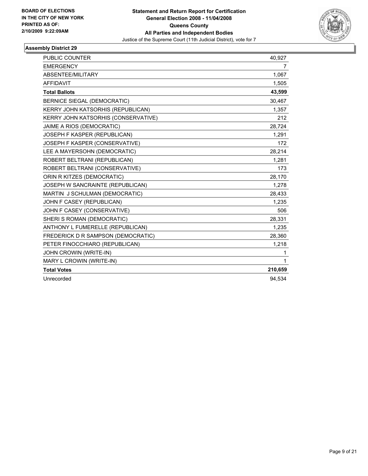

| <b>PUBLIC COUNTER</b>               | 40.927  |
|-------------------------------------|---------|
| <b>EMERGENCY</b>                    | 7       |
| ABSENTEE/MILITARY                   | 1,067   |
| <b>AFFIDAVIT</b>                    | 1,505   |
| <b>Total Ballots</b>                | 43,599  |
| <b>BERNICE SIEGAL (DEMOCRATIC)</b>  | 30,467  |
| KERRY JOHN KATSORHIS (REPUBLICAN)   | 1,357   |
| KERRY JOHN KATSORHIS (CONSERVATIVE) | 212     |
| JAIME A RIOS (DEMOCRATIC)           | 28,724  |
| JOSEPH F KASPER (REPUBLICAN)        | 1,291   |
| JOSEPH F KASPER (CONSERVATIVE)      | 172     |
| LEE A MAYERSOHN (DEMOCRATIC)        | 28,214  |
| ROBERT BELTRANI (REPUBLICAN)        | 1,281   |
| ROBERT BELTRANI (CONSERVATIVE)      | 173     |
| ORIN R KITZES (DEMOCRATIC)          | 28,170  |
| JOSEPH W SANCRAINTE (REPUBLICAN)    | 1,278   |
| MARTIN J SCHULMAN (DEMOCRATIC)      | 28,433  |
| JOHN F CASEY (REPUBLICAN)           | 1,235   |
| JOHN F CASEY (CONSERVATIVE)         | 506     |
| SHERI S ROMAN (DEMOCRATIC)          | 28,331  |
| ANTHONY L FUMERELLE (REPUBLICAN)    | 1,235   |
| FREDERICK D R SAMPSON (DEMOCRATIC)  | 28,360  |
| PETER FINOCCHIARO (REPUBLICAN)      | 1,218   |
| JOHN CROWIN (WRITE-IN)              | 1       |
| MARY L CROWIN (WRITE-IN)            | 1       |
| <b>Total Votes</b>                  | 210,659 |
| Unrecorded                          | 94.534  |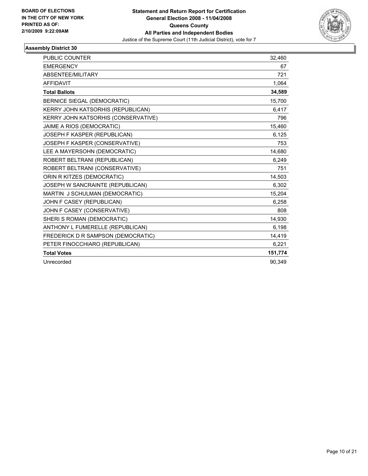

| PUBLIC COUNTER                      | 32,460  |
|-------------------------------------|---------|
| <b>EMERGENCY</b>                    | 67      |
| ABSENTEE/MILITARY                   | 721     |
| <b>AFFIDAVIT</b>                    | 1.064   |
| <b>Total Ballots</b>                | 34,589  |
| <b>BERNICE SIEGAL (DEMOCRATIC)</b>  | 15,700  |
| KERRY JOHN KATSORHIS (REPUBLICAN)   | 6.417   |
| KERRY JOHN KATSORHIS (CONSERVATIVE) | 796     |
| JAIME A RIOS (DEMOCRATIC)           | 15.460  |
| JOSEPH F KASPER (REPUBLICAN)        | 6,125   |
| JOSEPH F KASPER (CONSERVATIVE)      | 753     |
| LEE A MAYERSOHN (DEMOCRATIC)        | 14,680  |
| ROBERT BELTRANI (REPUBLICAN)        | 6,249   |
| ROBERT BELTRANI (CONSERVATIVE)      | 751     |
| ORIN R KITZES (DEMOCRATIC)          | 14,503  |
| JOSEPH W SANCRAINTE (REPUBLICAN)    | 6,302   |
| MARTIN J SCHULMAN (DEMOCRATIC)      | 15,204  |
| JOHN F CASEY (REPUBLICAN)           | 6,258   |
| JOHN F CASEY (CONSERVATIVE)         | 808     |
| SHERI S ROMAN (DEMOCRATIC)          | 14,930  |
| ANTHONY L FUMERELLE (REPUBLICAN)    | 6,198   |
| FREDERICK D R SAMPSON (DEMOCRATIC)  | 14,419  |
| PETER FINOCCHIARO (REPUBLICAN)      | 6,221   |
| <b>Total Votes</b>                  | 151,774 |
| Unrecorded                          | 90.349  |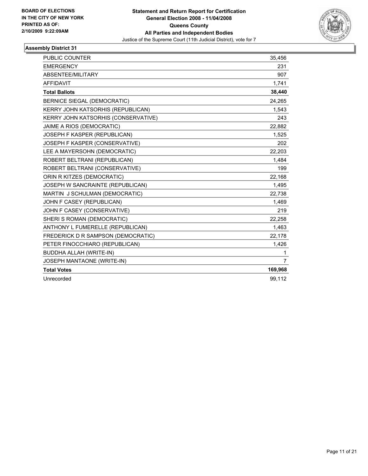

| <b>PUBLIC COUNTER</b>               | 35,456         |
|-------------------------------------|----------------|
| <b>EMERGENCY</b>                    | 231            |
| ABSENTEE/MILITARY                   | 907            |
| <b>AFFIDAVIT</b>                    | 1.741          |
| <b>Total Ballots</b>                | 38,440         |
| <b>BERNICE SIEGAL (DEMOCRATIC)</b>  | 24,265         |
| KERRY JOHN KATSORHIS (REPUBLICAN)   | 1,543          |
| KERRY JOHN KATSORHIS (CONSERVATIVE) | 243            |
| JAIME A RIOS (DEMOCRATIC)           | 22,882         |
| JOSEPH F KASPER (REPUBLICAN)        | 1,525          |
| JOSEPH F KASPER (CONSERVATIVE)      | 202            |
| LEE A MAYERSOHN (DEMOCRATIC)        | 22,203         |
| ROBERT BELTRANI (REPUBLICAN)        | 1,484          |
| ROBERT BELTRANI (CONSERVATIVE)      | 199            |
| ORIN R KITZES (DEMOCRATIC)          | 22,168         |
| JOSEPH W SANCRAINTE (REPUBLICAN)    | 1,495          |
| MARTIN J SCHULMAN (DEMOCRATIC)      | 22,738         |
| JOHN F CASEY (REPUBLICAN)           | 1,469          |
| JOHN F CASEY (CONSERVATIVE)         | 219            |
| SHERI S ROMAN (DEMOCRATIC)          | 22,258         |
| ANTHONY L FUMERELLE (REPUBLICAN)    | 1,463          |
| FREDERICK D R SAMPSON (DEMOCRATIC)  | 22.178         |
| PETER FINOCCHIARO (REPUBLICAN)      | 1,426          |
| <b>BUDDHA ALLAH (WRITE-IN)</b>      | 1              |
| JOSEPH MANTAONE (WRITE-IN)          | $\overline{7}$ |
| <b>Total Votes</b>                  | 169,968        |
| Unrecorded                          | 99.112         |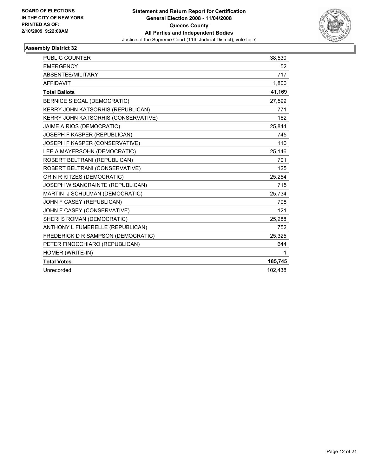

| PUBLIC COUNTER                      | 38,530  |
|-------------------------------------|---------|
| <b>EMERGENCY</b>                    | 52      |
| ABSENTEE/MILITARY                   | 717     |
| <b>AFFIDAVIT</b>                    | 1,800   |
| <b>Total Ballots</b>                | 41,169  |
| <b>BERNICE SIEGAL (DEMOCRATIC)</b>  | 27,599  |
| KERRY JOHN KATSORHIS (REPUBLICAN)   | 771     |
| KERRY JOHN KATSORHIS (CONSERVATIVE) | 162     |
| JAIME A RIOS (DEMOCRATIC)           | 25,844  |
| JOSEPH F KASPER (REPUBLICAN)        | 745     |
| JOSEPH F KASPER (CONSERVATIVE)      | 110     |
| LEE A MAYERSOHN (DEMOCRATIC)        | 25,146  |
| ROBERT BELTRANI (REPUBLICAN)        | 701     |
| ROBERT BELTRANI (CONSERVATIVE)      | 125     |
| ORIN R KITZES (DEMOCRATIC)          | 25,254  |
| JOSEPH W SANCRAINTE (REPUBLICAN)    | 715     |
| MARTIN J SCHULMAN (DEMOCRATIC)      | 25,734  |
| JOHN F CASEY (REPUBLICAN)           | 708     |
| JOHN F CASEY (CONSERVATIVE)         | 121     |
| SHERI S ROMAN (DEMOCRATIC)          | 25,288  |
| ANTHONY L FUMERELLE (REPUBLICAN)    | 752     |
| FREDERICK D R SAMPSON (DEMOCRATIC)  | 25,325  |
| PETER FINOCCHIARO (REPUBLICAN)      | 644     |
| HOMER (WRITE-IN)                    | 1       |
| <b>Total Votes</b>                  | 185,745 |
| Unrecorded                          | 102,438 |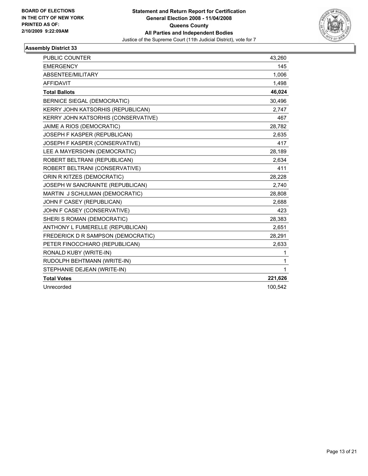

| <b>PUBLIC COUNTER</b>               | 43,260  |
|-------------------------------------|---------|
| <b>EMERGENCY</b>                    | 145     |
| ABSENTEE/MILITARY                   | 1,006   |
| <b>AFFIDAVIT</b>                    | 1,498   |
| <b>Total Ballots</b>                | 46,024  |
| <b>BERNICE SIEGAL (DEMOCRATIC)</b>  | 30,496  |
| KERRY JOHN KATSORHIS (REPUBLICAN)   | 2.747   |
| KERRY JOHN KATSORHIS (CONSERVATIVE) | 467     |
| JAIME A RIOS (DEMOCRATIC)           | 28,782  |
| JOSEPH F KASPER (REPUBLICAN)        | 2,635   |
| JOSEPH F KASPER (CONSERVATIVE)      | 417     |
| LEE A MAYERSOHN (DEMOCRATIC)        | 28,189  |
| ROBERT BELTRANI (REPUBLICAN)        | 2,634   |
| ROBERT BELTRANI (CONSERVATIVE)      | 411     |
| ORIN R KITZES (DEMOCRATIC)          | 28,228  |
| JOSEPH W SANCRAINTE (REPUBLICAN)    | 2,740   |
| MARTIN J SCHULMAN (DEMOCRATIC)      | 28,808  |
| JOHN F CASEY (REPUBLICAN)           | 2,688   |
| JOHN F CASEY (CONSERVATIVE)         | 423     |
| SHERI S ROMAN (DEMOCRATIC)          | 28,383  |
| ANTHONY L FUMERELLE (REPUBLICAN)    | 2,651   |
| FREDERICK D R SAMPSON (DEMOCRATIC)  | 28,291  |
| PETER FINOCCHIARO (REPUBLICAN)      | 2,633   |
| RONALD KUBY (WRITE-IN)              | 1       |
| RUDOLPH BEHTMANN (WRITE-IN)         | 1       |
| STEPHANIE DEJEAN (WRITE-IN)         | 1       |
| <b>Total Votes</b>                  | 221,626 |
| Unrecorded                          | 100,542 |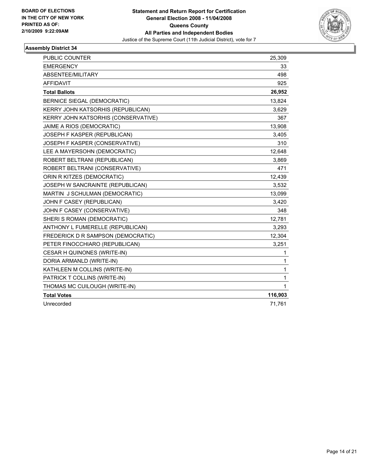

| PUBLIC COUNTER                      | 25,309      |
|-------------------------------------|-------------|
| <b>EMERGENCY</b>                    | 33          |
| ABSENTEE/MILITARY                   | 498         |
| <b>AFFIDAVIT</b>                    | 925         |
| <b>Total Ballots</b>                | 26,952      |
| <b>BERNICE SIEGAL (DEMOCRATIC)</b>  | 13,824      |
| KERRY JOHN KATSORHIS (REPUBLICAN)   | 3,629       |
| KERRY JOHN KATSORHIS (CONSERVATIVE) | 367         |
| JAIME A RIOS (DEMOCRATIC)           | 13,908      |
| JOSEPH F KASPER (REPUBLICAN)        | 3,405       |
| JOSEPH F KASPER (CONSERVATIVE)      | 310         |
| LEE A MAYERSOHN (DEMOCRATIC)        | 12,648      |
| ROBERT BELTRANI (REPUBLICAN)        | 3,869       |
| ROBERT BELTRANI (CONSERVATIVE)      | 471         |
| ORIN R KITZES (DEMOCRATIC)          | 12,439      |
| JOSEPH W SANCRAINTE (REPUBLICAN)    | 3,532       |
| MARTIN J SCHULMAN (DEMOCRATIC)      | 13,099      |
| JOHN F CASEY (REPUBLICAN)           | 3,420       |
| JOHN F CASEY (CONSERVATIVE)         | 348         |
| SHERI S ROMAN (DEMOCRATIC)          | 12,781      |
| ANTHONY L FUMERELLE (REPUBLICAN)    | 3,293       |
| FREDERICK D R SAMPSON (DEMOCRATIC)  | 12,304      |
| PETER FINOCCHIARO (REPUBLICAN)      | 3,251       |
| CESAR H QUINONES (WRITE-IN)         | 1           |
| DORIA ARMANLD (WRITE-IN)            | 1           |
| KATHLEEN M COLLINS (WRITE-IN)       | 1           |
| PATRICK T COLLINS (WRITE-IN)        | 1           |
| THOMAS MC CUILOUGH (WRITE-IN)       | $\mathbf 1$ |
| <b>Total Votes</b>                  | 116,903     |
| Unrecorded                          | 71,761      |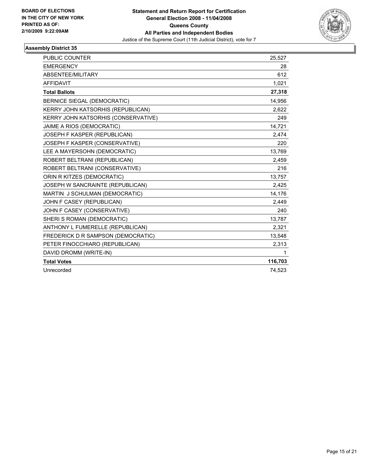

| <b>PUBLIC COUNTER</b>               | 25,527  |
|-------------------------------------|---------|
| <b>EMERGENCY</b>                    | 28      |
| ABSENTEE/MILITARY                   | 612     |
| <b>AFFIDAVIT</b>                    | 1,021   |
| <b>Total Ballots</b>                | 27,318  |
| BERNICE SIEGAL (DEMOCRATIC)         | 14,956  |
| KERRY JOHN KATSORHIS (REPUBLICAN)   | 2,622   |
| KERRY JOHN KATSORHIS (CONSERVATIVE) | 249     |
| JAIME A RIOS (DEMOCRATIC)           | 14,721  |
| JOSEPH F KASPER (REPUBLICAN)        | 2,474   |
| JOSEPH F KASPER (CONSERVATIVE)      | 220     |
| LEE A MAYERSOHN (DEMOCRATIC)        | 13,769  |
| ROBERT BELTRANI (REPUBLICAN)        | 2,459   |
| ROBERT BELTRANI (CONSERVATIVE)      | 216     |
| ORIN R KITZES (DEMOCRATIC)          | 13,757  |
| JOSEPH W SANCRAINTE (REPUBLICAN)    | 2,425   |
| MARTIN J SCHULMAN (DEMOCRATIC)      | 14,176  |
| JOHN F CASEY (REPUBLICAN)           | 2,449   |
| JOHN F CASEY (CONSERVATIVE)         | 240     |
| SHERI S ROMAN (DEMOCRATIC)          | 13,787  |
| ANTHONY L FUMERELLE (REPUBLICAN)    | 2,321   |
| FREDERICK D R SAMPSON (DEMOCRATIC)  | 13,548  |
| PETER FINOCCHIARO (REPUBLICAN)      | 2,313   |
| DAVID DROMM (WRITE-IN)              | 1       |
| <b>Total Votes</b>                  | 116,703 |
| Unrecorded                          | 74,523  |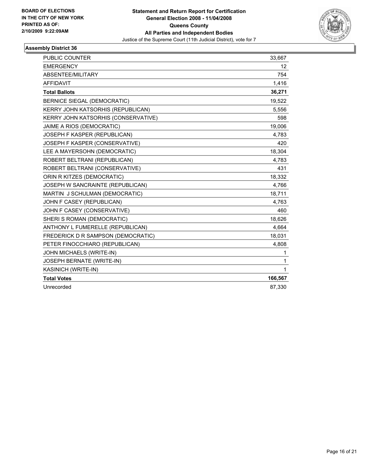

| <b>PUBLIC COUNTER</b>               | 33,667          |
|-------------------------------------|-----------------|
| <b>EMERGENCY</b>                    | 12 <sup>°</sup> |
| ABSENTEE/MILITARY                   | 754             |
| <b>AFFIDAVIT</b>                    | 1,416           |
| <b>Total Ballots</b>                | 36,271          |
| <b>BERNICE SIEGAL (DEMOCRATIC)</b>  | 19,522          |
| KERRY JOHN KATSORHIS (REPUBLICAN)   | 5,556           |
| KERRY JOHN KATSORHIS (CONSERVATIVE) | 598             |
| JAIME A RIOS (DEMOCRATIC)           | 19,006          |
| JOSEPH F KASPER (REPUBLICAN)        | 4,783           |
| JOSEPH F KASPER (CONSERVATIVE)      | 420             |
| LEE A MAYERSOHN (DEMOCRATIC)        | 18,304          |
| ROBERT BELTRANI (REPUBLICAN)        | 4,783           |
| ROBERT BELTRANI (CONSERVATIVE)      | 431             |
| ORIN R KITZES (DEMOCRATIC)          | 18,332          |
| JOSEPH W SANCRAINTE (REPUBLICAN)    | 4,766           |
| MARTIN J SCHULMAN (DEMOCRATIC)      | 18,711          |
| JOHN F CASEY (REPUBLICAN)           | 4,763           |
| JOHN F CASEY (CONSERVATIVE)         | 460             |
| SHERI S ROMAN (DEMOCRATIC)          | 18,626          |
| ANTHONY L FUMERELLE (REPUBLICAN)    | 4,664           |
| FREDERICK D R SAMPSON (DEMOCRATIC)  | 18,031          |
| PETER FINOCCHIARO (REPUBLICAN)      | 4,808           |
| JOHN MICHAELS (WRITE-IN)            | 1               |
| JOSEPH BERNATE (WRITE-IN)           | 1               |
| KASINICH (WRITE-IN)                 | 1               |
| <b>Total Votes</b>                  | 166,567         |
| Unrecorded                          | 87,330          |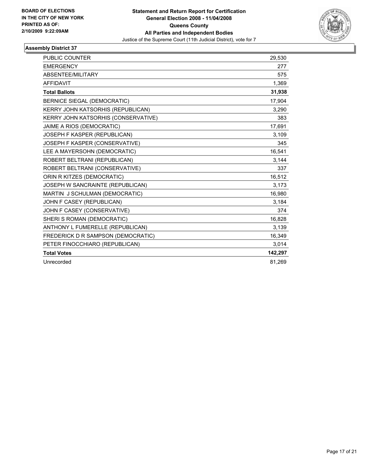

| <b>PUBLIC COUNTER</b>               | 29.530  |
|-------------------------------------|---------|
| <b>EMERGENCY</b>                    | 277     |
| ABSENTEE/MILITARY                   | 575     |
| <b>AFFIDAVIT</b>                    | 1,369   |
| <b>Total Ballots</b>                | 31,938  |
| <b>BERNICE SIEGAL (DEMOCRATIC)</b>  | 17,904  |
| KERRY JOHN KATSORHIS (REPUBLICAN)   | 3,290   |
| KERRY JOHN KATSORHIS (CONSERVATIVE) | 383     |
| JAIME A RIOS (DEMOCRATIC)           | 17,691  |
| JOSEPH F KASPER (REPUBLICAN)        | 3,109   |
| JOSEPH F KASPER (CONSERVATIVE)      | 345     |
| LEE A MAYERSOHN (DEMOCRATIC)        | 16,541  |
| ROBERT BELTRANI (REPUBLICAN)        | 3,144   |
| ROBERT BELTRANI (CONSERVATIVE)      | 337     |
| ORIN R KITZES (DEMOCRATIC)          | 16,512  |
| JOSEPH W SANCRAINTE (REPUBLICAN)    | 3,173   |
| MARTIN J SCHULMAN (DEMOCRATIC)      | 16,980  |
| JOHN F CASEY (REPUBLICAN)           | 3,184   |
| JOHN F CASEY (CONSERVATIVE)         | 374     |
| SHERI S ROMAN (DEMOCRATIC)          | 16,828  |
| ANTHONY L FUMERELLE (REPUBLICAN)    | 3,139   |
| FREDERICK D R SAMPSON (DEMOCRATIC)  | 16,349  |
| PETER FINOCCHIARO (REPUBLICAN)      | 3,014   |
| <b>Total Votes</b>                  | 142,297 |
| Unrecorded                          | 81,269  |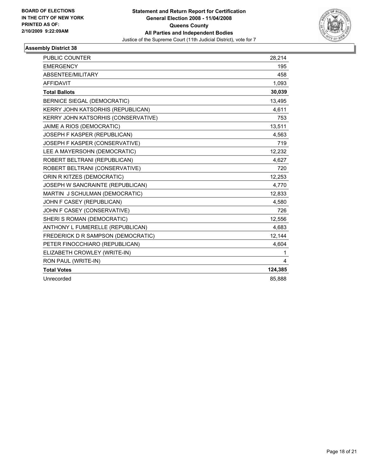

| <b>PUBLIC COUNTER</b>               | 28,214  |
|-------------------------------------|---------|
| <b>EMERGENCY</b>                    | 195     |
| ABSENTEE/MILITARY                   | 458     |
| <b>AFFIDAVIT</b>                    | 1,093   |
| <b>Total Ballots</b>                | 30,039  |
| <b>BERNICE SIEGAL (DEMOCRATIC)</b>  | 13,495  |
| KERRY JOHN KATSORHIS (REPUBLICAN)   | 4,611   |
| KERRY JOHN KATSORHIS (CONSERVATIVE) | 753     |
| JAIME A RIOS (DEMOCRATIC)           | 13,511  |
| JOSEPH F KASPER (REPUBLICAN)        | 4,563   |
| JOSEPH F KASPER (CONSERVATIVE)      | 719     |
| LEE A MAYERSOHN (DEMOCRATIC)        | 12,232  |
| ROBERT BELTRANI (REPUBLICAN)        | 4,627   |
| ROBERT BELTRANI (CONSERVATIVE)      | 720     |
| ORIN R KITZES (DEMOCRATIC)          | 12,253  |
| JOSEPH W SANCRAINTE (REPUBLICAN)    | 4,770   |
| MARTIN J SCHULMAN (DEMOCRATIC)      | 12,833  |
| JOHN F CASEY (REPUBLICAN)           | 4,580   |
| JOHN F CASEY (CONSERVATIVE)         | 726     |
| SHERI S ROMAN (DEMOCRATIC)          | 12,556  |
| ANTHONY L FUMERELLE (REPUBLICAN)    | 4,683   |
| FREDERICK D R SAMPSON (DEMOCRATIC)  | 12,144  |
| PETER FINOCCHIARO (REPUBLICAN)      | 4,604   |
| ELIZABETH CROWLEY (WRITE-IN)        | 1       |
| RON PAUL (WRITE-IN)                 | 4       |
| <b>Total Votes</b>                  | 124,385 |
| Unrecorded                          | 85.888  |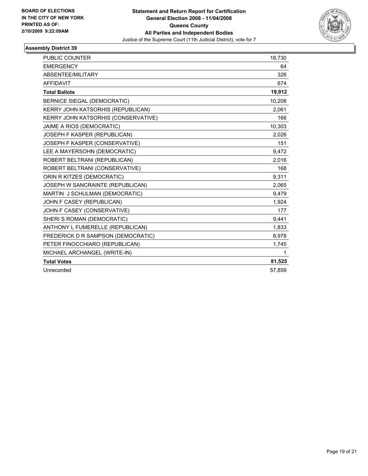

| <b>PUBLIC COUNTER</b>               | 18.730 |
|-------------------------------------|--------|
| <b>EMERGENCY</b>                    | 64     |
| ABSENTEE/MILITARY                   | 326    |
| <b>AFFIDAVIT</b>                    | 674    |
| <b>Total Ballots</b>                | 19,912 |
| BERNICE SIEGAL (DEMOCRATIC)         | 10,208 |
| KERRY JOHN KATSORHIS (REPUBLICAN)   | 2,061  |
| KERRY JOHN KATSORHIS (CONSERVATIVE) | 166    |
| JAIME A RIOS (DEMOCRATIC)           | 10,303 |
| JOSEPH F KASPER (REPUBLICAN)        | 2,026  |
| JOSEPH F KASPER (CONSERVATIVE)      | 151    |
| LEE A MAYERSOHN (DEMOCRATIC)        | 9,472  |
| ROBERT BELTRANI (REPUBLICAN)        | 2,016  |
| ROBERT BELTRANI (CONSERVATIVE)      | 168    |
| ORIN R KITZES (DEMOCRATIC)          | 9.311  |
| JOSEPH W SANCRAINTE (REPUBLICAN)    | 2,065  |
| MARTIN J SCHULMAN (DEMOCRATIC)      | 9,479  |
| JOHN F CASEY (REPUBLICAN)           | 1,924  |
| JOHN F CASEY (CONSERVATIVE)         | 177    |
| SHERI S ROMAN (DEMOCRATIC)          | 9.441  |
| ANTHONY L FUMERELLE (REPUBLICAN)    | 1,833  |
| FREDERICK D R SAMPSON (DEMOCRATIC)  | 8,978  |
| PETER FINOCCHIARO (REPUBLICAN)      | 1,745  |
| MICHAEL ARCHANGEL (WRITE-IN)        | 1      |
| <b>Total Votes</b>                  | 81,525 |
| Unrecorded                          | 57,859 |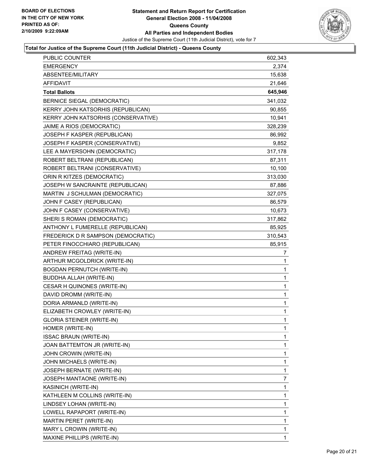

### **Total for Justice of the Supreme Court (11th Judicial District) - Queens County**

| <b>PUBLIC COUNTER</b>               | 602,343        |
|-------------------------------------|----------------|
| <b>EMERGENCY</b>                    | 2,374          |
| ABSENTEE/MILITARY                   | 15,638         |
| AFFIDAVIT                           | 21,646         |
| <b>Total Ballots</b>                | 645,946        |
| BERNICE SIEGAL (DEMOCRATIC)         | 341,032        |
| KERRY JOHN KATSORHIS (REPUBLICAN)   | 90,855         |
| KERRY JOHN KATSORHIS (CONSERVATIVE) | 10,941         |
| JAIME A RIOS (DEMOCRATIC)           | 328,239        |
| JOSEPH F KASPER (REPUBLICAN)        | 86,992         |
| JOSEPH F KASPER (CONSERVATIVE)      | 9,852          |
| LEE A MAYERSOHN (DEMOCRATIC)        | 317,178        |
| ROBERT BELTRANI (REPUBLICAN)        | 87,311         |
| ROBERT BELTRANI (CONSERVATIVE)      | 10,100         |
| ORIN R KITZES (DEMOCRATIC)          | 313,030        |
| JOSEPH W SANCRAINTE (REPUBLICAN)    | 87,886         |
| MARTIN J SCHULMAN (DEMOCRATIC)      | 327,075        |
| JOHN F CASEY (REPUBLICAN)           | 86,579         |
| JOHN F CASEY (CONSERVATIVE)         | 10,673         |
| SHERI S ROMAN (DEMOCRATIC)          | 317,862        |
| ANTHONY L FUMERELLE (REPUBLICAN)    | 85,925         |
| FREDERICK D R SAMPSON (DEMOCRATIC)  | 310,543        |
| PETER FINOCCHIARO (REPUBLICAN)      | 85,915         |
| ANDREW FREITAG (WRITE-IN)           | 7              |
| ARTHUR MCGOLDRICK (WRITE-IN)        | 1              |
| <b>BOGDAN PERNUTCH (WRITE-IN)</b>   | 1              |
| BUDDHA ALLAH (WRITE-IN)             | 1              |
| CESAR H QUINONES (WRITE-IN)         | $\mathbf{1}$   |
| DAVID DROMM (WRITE-IN)              | $\mathbf{1}$   |
| DORIA ARMANLD (WRITE-IN)            | 1              |
| ELIZABETH CROWLEY (WRITE-IN)        | 1              |
| <b>GLORIA STEINER (WRITE-IN)</b>    | $\mathbf{1}$   |
| HOMER (WRITE-IN)                    | 1              |
| <b>ISSAC BRAUN (WRITE-IN)</b>       | 1              |
| JOAN BATTEMTON JR (WRITE-IN)        | 1              |
| JOHN CROWIN (WRITE-IN)              | 1              |
| JOHN MICHAELS (WRITE-IN)            | 1              |
| JOSEPH BERNATE (WRITE-IN)           | 1              |
| JOSEPH MANTAONE (WRITE-IN)          | $\overline{7}$ |
| KASINICH (WRITE-IN)                 | 1              |
| KATHLEEN M COLLINS (WRITE-IN)       | 1              |
| LINDSEY LOHAN (WRITE-IN)            | 1              |
| LOWELL RAPAPORT (WRITE-IN)          | 1              |
| MARTIN PERET (WRITE-IN)             | 1              |
| MARY L CROWIN (WRITE-IN)            | 1              |
| MAXINE PHILLIPS (WRITE-IN)          | 1              |